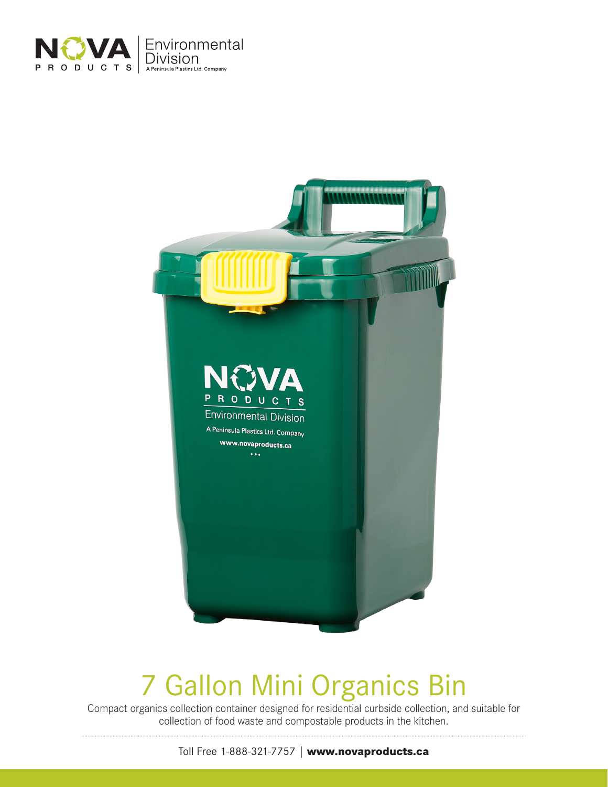



## 7 Gallon Mini Organics Bin

Compact organics collection container designed for residential curbside collection, and suitable for collection of food waste and compostable products in the kitchen.

Toll Free 1-888-321-7757 | **www.novaproducts.ca**